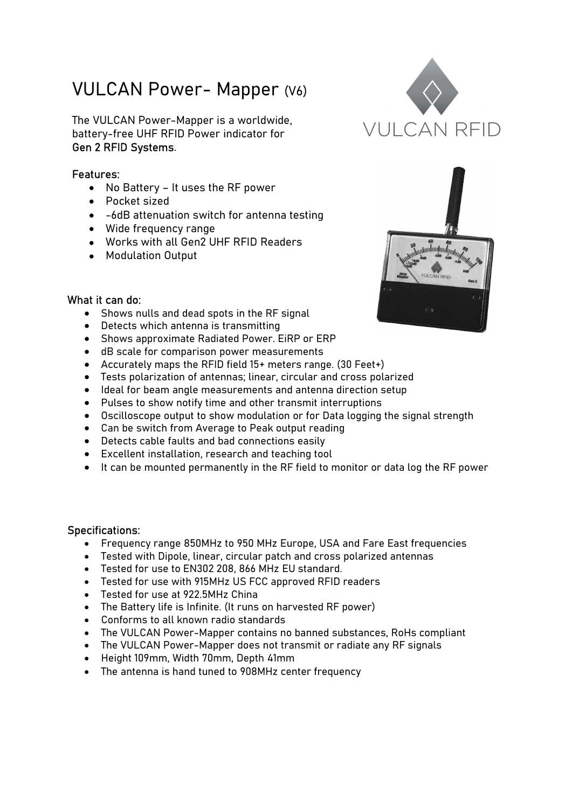## VULCAN Power- Mapper (V6)

The VULCAN Power-Mapper is a worldwide,<br>
battery free LIHE BEID Bower indicator for  $VU \cup CAN$  REID battery-free UHF RFID Power indicator for Gen 2 RFID Systems. Features:

- No Battery It uses the RF power
- Pocket sized
- -6dB attenuation switch for antenna testing
- Wide frequency range
- Works with all Gen2 UHF RFID Readers
- Modulation Output





## What it can do:

- Shows nulls and dead spots in the RF signal
- Detects which antenna is transmitting
- Shows approximate Radiated Power. EiRP or ERP
- dB scale for comparison power measurements
- Accurately maps the RFID field 15+ meters range. (30 Feet+)
- Tests polarization of antennas; linear, circular and cross polarized
- Ideal for beam angle measurements and antenna direction setup
- Pulses to show notify time and other transmit interruptions
- Oscilloscope output to show modulation or for Data logging the signal strength
- Can be switch from Average to Peak output reading
- Detects cable faults and bad connections easily
- Excellent installation, research and teaching tool
- It can be mounted permanently in the RF field to monitor or data log the RF power

## Specifications:

- Frequency range 850MHz to 950 MHz Europe, USA and Fare East frequencies
- Tested with Dipole, linear, circular patch and cross polarized antennas
- Tested for use to EN302 208, 866 MHz EU standard.
- Tested for use with 915MHz US FCC approved RFID readers
- Tested for use at 922.5MHz China
- The Battery life is Infinite. (It runs on harvested RF power)
- Conforms to all known radio standards
- The VULCAN Power-Mapper contains no banned substances, RoHs compliant
- The VULCAN Power-Mapper does not transmit or radiate any RF signals
- Height 109mm, Width 70mm, Depth 41mm
- The antenna is hand tuned to 908MHz center frequency